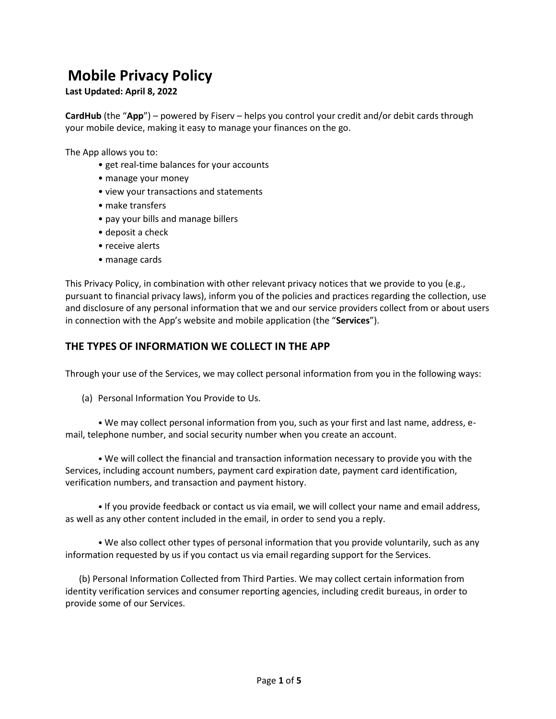# **Mobile Privacy Policy**

**Last Updated: April 8, 2022**

**CardHub** (the "**App**") – powered by Fiserv – helps you control your credit and/or debit cards through your mobile device, making it easy to manage your finances on the go.

The App allows you to:

- get real-time balances for your accounts
- manage your money
- view your transactions and statements
- make transfers
- pay your bills and manage billers
- deposit a check
- receive alerts
- manage cards

This Privacy Policy, in combination with other relevant privacy notices that we provide to you (e.g., pursuant to financial privacy laws), inform you of the policies and practices regarding the collection, use and disclosure of any personal information that we and our service providers collect from or about users in connection with the App's website and mobile application (the "**Services**").

## **THE TYPES OF INFORMATION WE COLLECT IN THE APP**

Through your use of the Services, we may collect personal information from you in the following ways:

(a) Personal Information You Provide to Us.

• We may collect personal information from you, such as your first and last name, address, email, telephone number, and social security number when you create an account.

• We will collect the financial and transaction information necessary to provide you with the Services, including account numbers, payment card expiration date, payment card identification, verification numbers, and transaction and payment history.

• If you provide feedback or contact us via email, we will collect your name and email address, as well as any other content included in the email, in order to send you a reply.

• We also collect other types of personal information that you provide voluntarily, such as any information requested by us if you contact us via email regarding support for the Services.

 (b) Personal Information Collected from Third Parties. We may collect certain information from identity verification services and consumer reporting agencies, including credit bureaus, in order to provide some of our Services.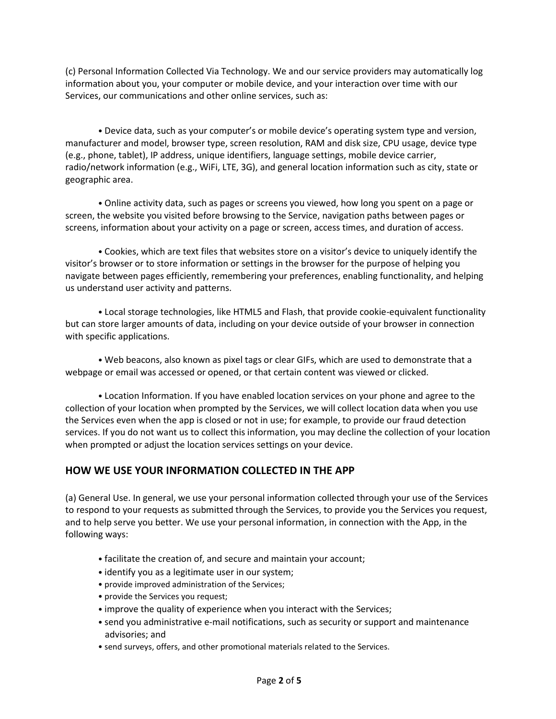(c) Personal Information Collected Via Technology. We and our service providers may automatically log information about you, your computer or mobile device, and your interaction over time with our Services, our communications and other online services, such as:

• Device data, such as your computer's or mobile device's operating system type and version, manufacturer and model, browser type, screen resolution, RAM and disk size, CPU usage, device type (e.g., phone, tablet), IP address, unique identifiers, language settings, mobile device carrier, radio/network information (e.g., WiFi, LTE, 3G), and general location information such as city, state or geographic area.

• Online activity data, such as pages or screens you viewed, how long you spent on a page or screen, the website you visited before browsing to the Service, navigation paths between pages or screens, information about your activity on a page or screen, access times, and duration of access.

• Cookies, which are text files that websites store on a visitor's device to uniquely identify the visitor's browser or to store information or settings in the browser for the purpose of helping you navigate between pages efficiently, remembering your preferences, enabling functionality, and helping us understand user activity and patterns.

• Local storage technologies, like HTML5 and Flash, that provide cookie-equivalent functionality but can store larger amounts of data, including on your device outside of your browser in connection with specific applications.

• Web beacons, also known as pixel tags or clear GIFs, which are used to demonstrate that a webpage or email was accessed or opened, or that certain content was viewed or clicked.

• Location Information. If you have enabled location services on your phone and agree to the collection of your location when prompted by the Services, we will collect location data when you use the Services even when the app is closed or not in use; for example, to provide our fraud detection services. If you do not want us to collect this information, you may decline the collection of your location when prompted or adjust the location services settings on your device.

## **HOW WE USE YOUR INFORMATION COLLECTED IN THE APP**

(a) General Use. In general, we use your personal information collected through your use of the Services to respond to your requests as submitted through the Services, to provide you the Services you request, and to help serve you better. We use your personal information, in connection with the App, in the following ways:

- facilitate the creation of, and secure and maintain your account;
- identify you as a legitimate user in our system;
- provide improved administration of the Services;
- provide the Services you request;
- improve the quality of experience when you interact with the Services;
- send you administrative e-mail notifications, such as security or support and maintenance advisories; and
- send surveys, offers, and other promotional materials related to the Services.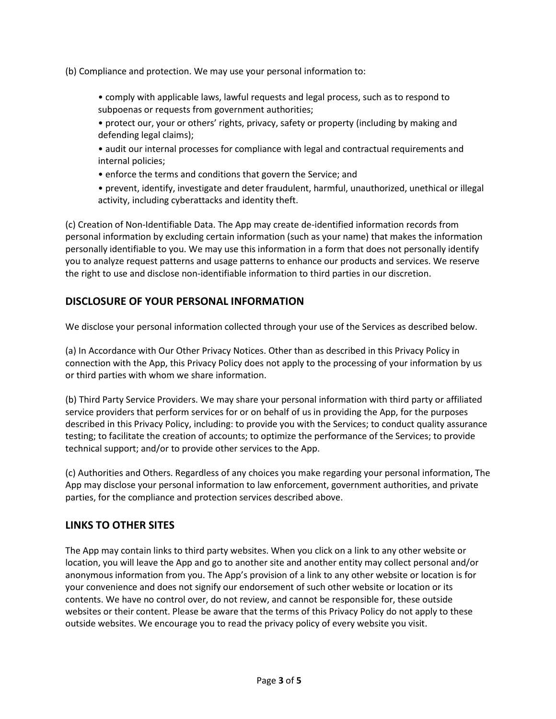(b) Compliance and protection. We may use your personal information to:

• comply with applicable laws, lawful requests and legal process, such as to respond to subpoenas or requests from government authorities;

• protect our, your or others' rights, privacy, safety or property (including by making and defending legal claims);

- audit our internal processes for compliance with legal and contractual requirements and internal policies;
- enforce the terms and conditions that govern the Service; and

• prevent, identify, investigate and deter fraudulent, harmful, unauthorized, unethical or illegal activity, including cyberattacks and identity theft.

(c) Creation of Non-Identifiable Data. The App may create de-identified information records from personal information by excluding certain information (such as your name) that makes the information personally identifiable to you. We may use this information in a form that does not personally identify you to analyze request patterns and usage patterns to enhance our products and services. We reserve the right to use and disclose non-identifiable information to third parties in our discretion.

## **DISCLOSURE OF YOUR PERSONAL INFORMATION**

We disclose your personal information collected through your use of the Services as described below.

(a) In Accordance with Our Other Privacy Notices. Other than as described in this Privacy Policy in connection with the App, this Privacy Policy does not apply to the processing of your information by us or third parties with whom we share information.

(b) Third Party Service Providers. We may share your personal information with third party or affiliated service providers that perform services for or on behalf of us in providing the App, for the purposes described in this Privacy Policy, including: to provide you with the Services; to conduct quality assurance testing; to facilitate the creation of accounts; to optimize the performance of the Services; to provide technical support; and/or to provide other services to the App.

(c) Authorities and Others. Regardless of any choices you make regarding your personal information, The App may disclose your personal information to law enforcement, government authorities, and private parties, for the compliance and protection services described above.

## **LINKS TO OTHER SITES**

The App may contain links to third party websites. When you click on a link to any other website or location, you will leave the App and go to another site and another entity may collect personal and/or anonymous information from you. The App's provision of a link to any other website or location is for your convenience and does not signify our endorsement of such other website or location or its contents. We have no control over, do not review, and cannot be responsible for, these outside websites or their content. Please be aware that the terms of this Privacy Policy do not apply to these outside websites. We encourage you to read the privacy policy of every website you visit.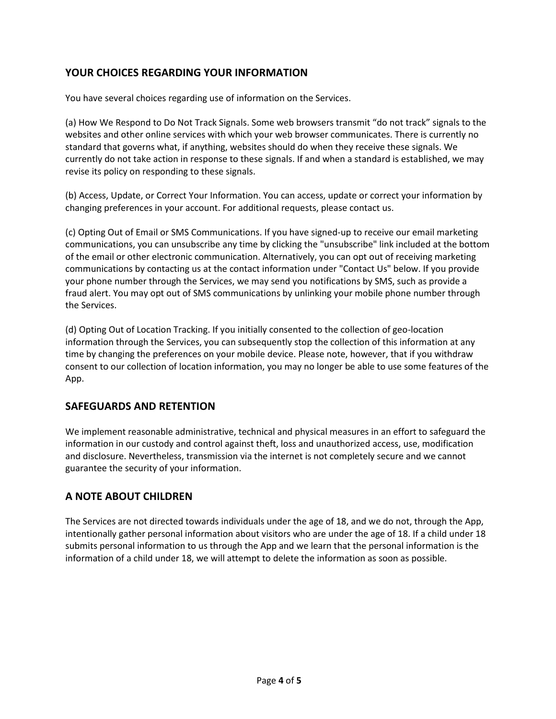## **YOUR CHOICES REGARDING YOUR INFORMATION**

You have several choices regarding use of information on the Services.

(a) How We Respond to Do Not Track Signals. Some web browsers transmit "do not track" signals to the websites and other online services with which your web browser communicates. There is currently no standard that governs what, if anything, websites should do when they receive these signals. We currently do not take action in response to these signals. If and when a standard is established, we may revise its policy on responding to these signals.

(b) Access, Update, or Correct Your Information. You can access, update or correct your information by changing preferences in your account. For additional requests, please contact us.

(c) Opting Out of Email or SMS Communications. If you have signed-up to receive our email marketing communications, you can unsubscribe any time by clicking the "unsubscribe" link included at the bottom of the email or other electronic communication. Alternatively, you can opt out of receiving marketing communications by contacting us at the contact information under "Contact Us" below. If you provide your phone number through the Services, we may send you notifications by SMS, such as provide a fraud alert. You may opt out of SMS communications by unlinking your mobile phone number through the Services.

(d) Opting Out of Location Tracking. If you initially consented to the collection of geo-location information through the Services, you can subsequently stop the collection of this information at any time by changing the preferences on your mobile device. Please note, however, that if you withdraw consent to our collection of location information, you may no longer be able to use some features of the App.

## **SAFEGUARDS AND RETENTION**

We implement reasonable administrative, technical and physical measures in an effort to safeguard the information in our custody and control against theft, loss and unauthorized access, use, modification and disclosure. Nevertheless, transmission via the internet is not completely secure and we cannot guarantee the security of your information.

## **A NOTE ABOUT CHILDREN**

The Services are not directed towards individuals under the age of 18, and we do not, through the App, intentionally gather personal information about visitors who are under the age of 18. If a child under 18 submits personal information to us through the App and we learn that the personal information is the information of a child under 18, we will attempt to delete the information as soon as possible.